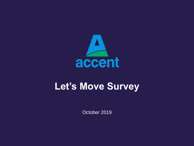

# **Let's Move Survey**

October 2019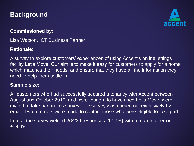#### **Background**



#### **Commissioned by:**

Lisa Watson, ICT Business Partner

#### **Rationale:**

A survey to explore customers' experiences of using Accent's online lettings facility Let's Move. Our aim is to make it easy for customers to apply for a home which matches their needs, and ensure that they have all the information they need to help them settle in.

#### **Sample size:**

All customers who had successfully secured a tenancy with Accent between August and October 2019, and were thought to have used Let's Move, were invited to take part in this survey. The survey was carried out exclusively by email. Two attempts were made to contact those who were eligible to take part.

In total the survey yielded 26/239 responses (10.9%) with a margin of error  $±18.4\%$ .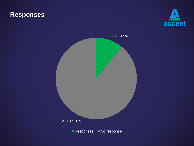#### **Responses**



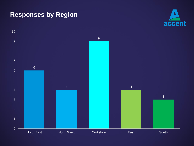#### **Responses by Region**



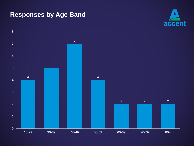#### **Responses by Age Band**



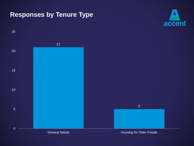## **Responses by Tenure Type**



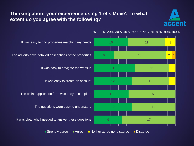#### **Thinking about your experience using 'Let's Move', to what extent do you agree with the following?**



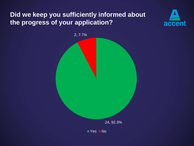#### **Did we keep you sufficiently informed about the progress of your application?**



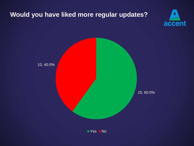## **Would you have liked more regular updates?**



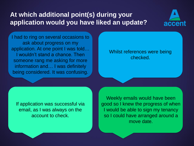## **At which additional point(s) during your application would you have liked an update?**



I had to ring on several occasions to ask about progress on my application. At one point I was told… I wouldn't stand a chance. Then someone rang me asking for more information and… I was definitely being considered. It was confusing.

#### Whilst references were being checked.

If application was successful via email, as I was always on the account to check.

Weekly emails would have been good so I knew the progress of when I would be able to sign my tenancy so I could have arranged around a move date.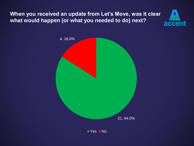#### **When you received an update from Let's Move, was it clear what would happen (or what you needed to do) next?**



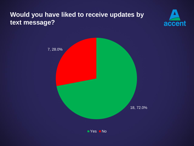## **Would you have liked to receive updates by text message?**



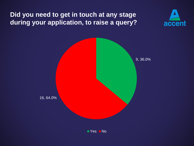## **Did you need to get in touch at any stage during your application, to raise a query?**



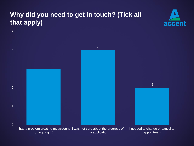## **Why did you need to get in touch? (Tick all that apply)**



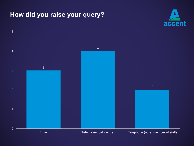#### **How did you raise your query?**



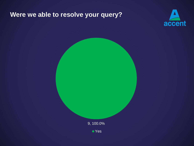#### **Were we able to resolve your query?**





■ Yes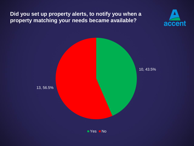#### **Did you set up property alerts, to notify you when a property matching your needs became available?**



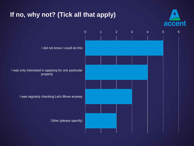## **If no, why not? (Tick all that apply)**



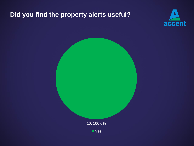## **Did you find the property alerts useful?**





■ Yes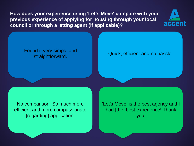**How does your experience using 'Let's Move' compare with your previous experience of applying for housing through your local council or through a letting agent (if applicable)?**



#### Found it very simple and straightforward. **Complete and Straightforward.** Quick, efficient and no hassle.

No comparison. So much more efficient and more compassionate [regarding] application.

'Let's Move' is the best agency and I had [the] best experience! Thank you!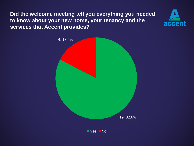**Did the welcome meeting tell you everything you needed to know about your new home, your tenancy and the services that Accent provides?**



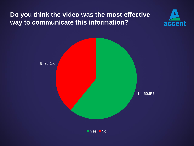## **Do you think the video was the most effective way to communicate this information?**



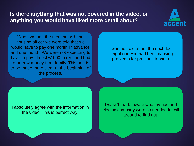#### **Is there anything that was not covered in the video, or anything you would have liked more detail about?**



When we had the meeting with the housing officer we were told that we would have to pay one month in advance and one month. We were not expecting to have to pay almost £1000 in rent and had to borrow money from family. This needs to be made more clear at the beginning of the process.

I was not told about the next door neighbour who had been causing problems for previous tenants.

I absolutely agree with the information in the video! This is perfect way!

I wasn't made aware who my gas and electric company were so needed to call around to find out.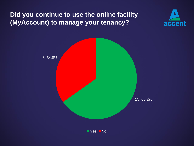## **Did you continue to use the online facility (MyAccount) to manage your tenancy?**



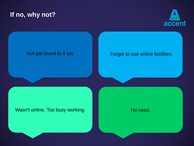#### **If no, why not?**



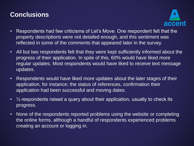## **Conclusions**



- Respondents had few criticisms of Let's Move. One respondent felt that the property descriptions were not detailed enough, and this sentiment was reflected in some of the comments that appeared later in the survey.
- All but two respondents felt that they were kept sufficiently informed about the progress of their application. In spite of this, 60% would have liked more regular updates. Most respondents would have liked to receive text message updates.
- Respondents would have liked more updates about the later stages of their application, for instance; the status of references, confirmation their application had been successful and moving dates.
- ¼ respondents raised a query about their application, usually to check its progress.
- None of the respondents reported problems using the website or completing the online forms, although a handful of respondents experienced problems creating an account or logging in.